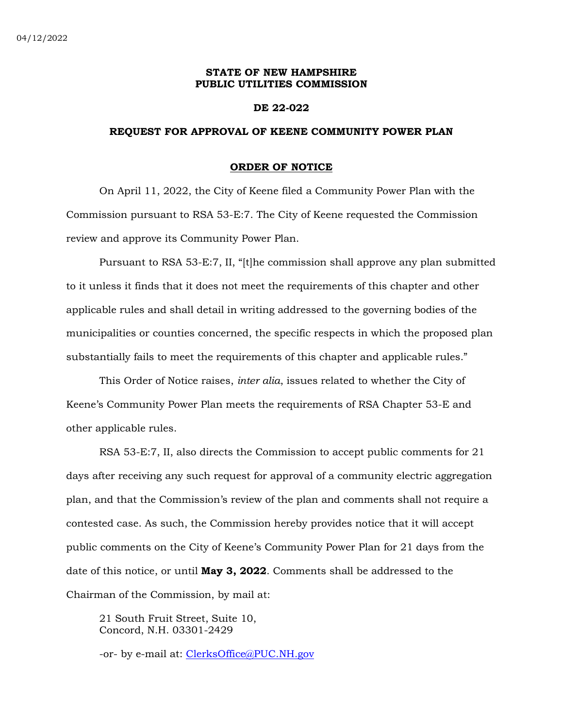## **STATE OF NEW HAMPSHIRE PUBLIC UTILITIES COMMISSION**

## **DE 22-022**

## **REQUEST FOR APPROVAL OF KEENE COMMUNITY POWER PLAN**

#### **ORDER OF NOTICE**

On April 11, 2022, the City of Keene filed a Community Power Plan with the Commission pursuant to RSA 53-E:7. The City of Keene requested the Commission review and approve its Community Power Plan.

Pursuant to RSA 53-E:7, II, "[t]he commission shall approve any plan submitted to it unless it finds that it does not meet the requirements of this chapter and other applicable rules and shall detail in writing addressed to the governing bodies of the municipalities or counties concerned, the specific respects in which the proposed plan substantially fails to meet the requirements of this chapter and applicable rules."

This Order of Notice raises, *inter alia*, issues related to whether the City of Keene's Community Power Plan meets the requirements of RSA Chapter 53-E and other applicable rules.

RSA 53-E:7, II, also directs the Commission to accept public comments for 21 days after receiving any such request for approval of a community electric aggregation plan, and that the Commission's review of the plan and comments shall not require a contested case. As such, the Commission hereby provides notice that it will accept public comments on the City of Keene's Community Power Plan for 21 days from the date of this notice, or until **May 3, 2022**. Comments shall be addressed to the Chairman of the Commission, by mail at:

21 South Fruit Street, Suite 10, Concord, N.H. 03301-2429

-or- by e-mail at: [ClerksOffice@PUC.NH.gov](mailto:ClerksOffice@PUC.NH.gov)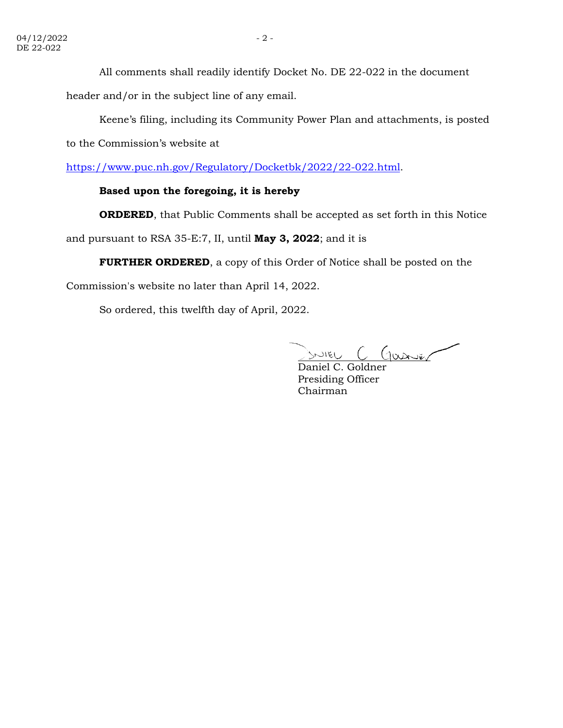All comments shall readily identify Docket No. DE 22-022 in the document

header and/or in the subject line of any email.

Keene's filing, including its Community Power Plan and attachments, is posted

to the Commission's website at

[https://www.puc.nh.gov/Regulatory/Docketbk/2022/22-022.html.](https://www.puc.nh.gov/Regulatory/Docketbk/2022/22-022.html)

# **Based upon the foregoing, it is hereby**

**ORDERED**, that Public Comments shall be accepted as set forth in this Notice

and pursuant to RSA 35-E:7, II, until **May 3, 2022**; and it is

**FURTHER ORDERED**, a copy of this Order of Notice shall be posted on the

Commission's website no later than April 14, 2022.

So ordered, this twelfth day of April, 2022.

 $D$  $D$  $D$  $E$  $C$   $C$  $D$  $D$  $E$  $C$  $D$  $E$  $F$ SNIEL

Presiding Officer Chairman